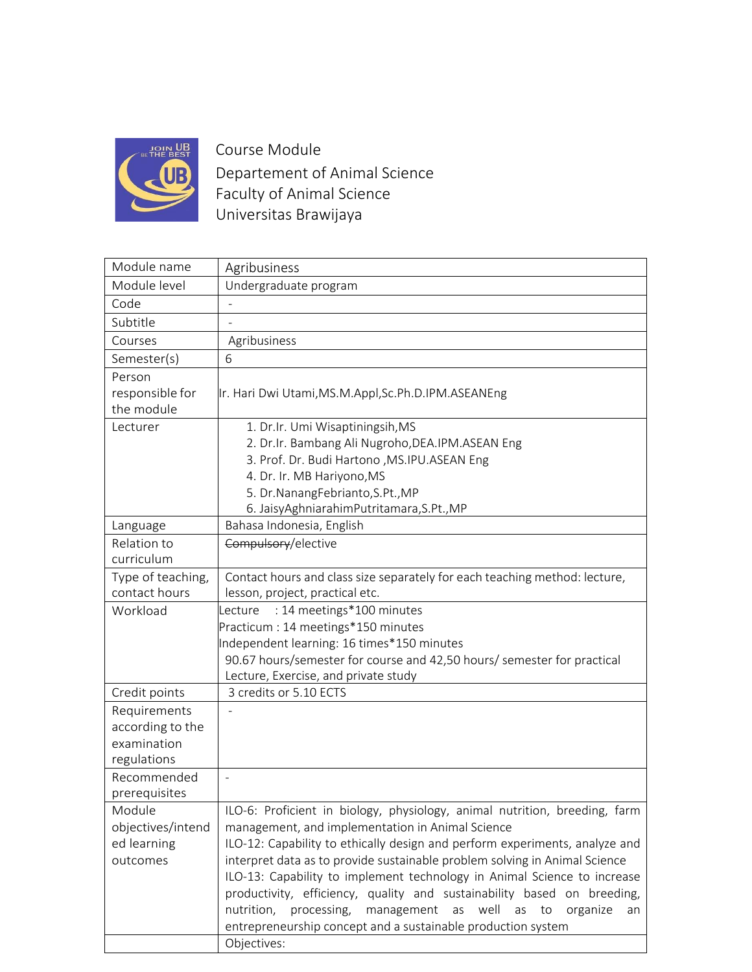

Course Module Departement of Animal Science Faculty of Animal Science Universitas Brawijaya

| Module name       | Agribusiness                                                                |
|-------------------|-----------------------------------------------------------------------------|
| Module level      | Undergraduate program                                                       |
| Code              |                                                                             |
| Subtitle          |                                                                             |
| Courses           | Agribusiness                                                                |
| Semester(s)       | 6                                                                           |
| Person            |                                                                             |
| responsible for   | Ir. Hari Dwi Utami, MS.M.Appl, Sc.Ph.D.IPM.ASEANEng                         |
| the module        |                                                                             |
| Lecturer          | 1. Dr.Ir. Umi Wisaptiningsih, MS                                            |
|                   | 2. Dr.Ir. Bambang Ali Nugroho, DEA.IPM. ASEAN Eng                           |
|                   | 3. Prof. Dr. Budi Hartono , MS.IPU.ASEAN Eng                                |
|                   | 4. Dr. Ir. MB Hariyono, MS                                                  |
|                   | 5. Dr.NanangFebrianto, S.Pt., MP                                            |
|                   | 6. JaisyAghniarahimPutritamara, S.Pt., MP                                   |
| Language          | Bahasa Indonesia, English                                                   |
| Relation to       | Compulsory/elective                                                         |
| curriculum        |                                                                             |
| Type of teaching, | Contact hours and class size separately for each teaching method: lecture,  |
| contact hours     | lesson, project, practical etc.                                             |
| Workload          | : 14 meetings*100 minutes<br>Lecture                                        |
|                   | Practicum : 14 meetings*150 minutes                                         |
|                   | Independent learning: 16 times*150 minutes                                  |
|                   | 90.67 hours/semester for course and 42,50 hours/ semester for practical     |
|                   | Lecture, Exercise, and private study                                        |
| Credit points     | 3 credits or 5.10 ECTS                                                      |
| Requirements      |                                                                             |
| according to the  |                                                                             |
| examination       |                                                                             |
| regulations       |                                                                             |
| Recommended       |                                                                             |
| prerequisites     |                                                                             |
| Module            | ILO-6: Proficient in biology, physiology, animal nutrition, breeding, farm  |
| objectives/intend | management, and implementation in Animal Science                            |
| ed learning       | ILO-12: Capability to ethically design and perform experiments, analyze and |
| outcomes          | interpret data as to provide sustainable problem solving in Animal Science  |
|                   | ILO-13: Capability to implement technology in Animal Science to increase    |
|                   | productivity, efficiency, quality and sustainability based on breeding,     |
|                   | nutrition, processing,<br>management as<br>well<br>as to<br>organize<br>an  |
|                   |                                                                             |
|                   | entrepreneurship concept and a sustainable production system<br>Objectives: |